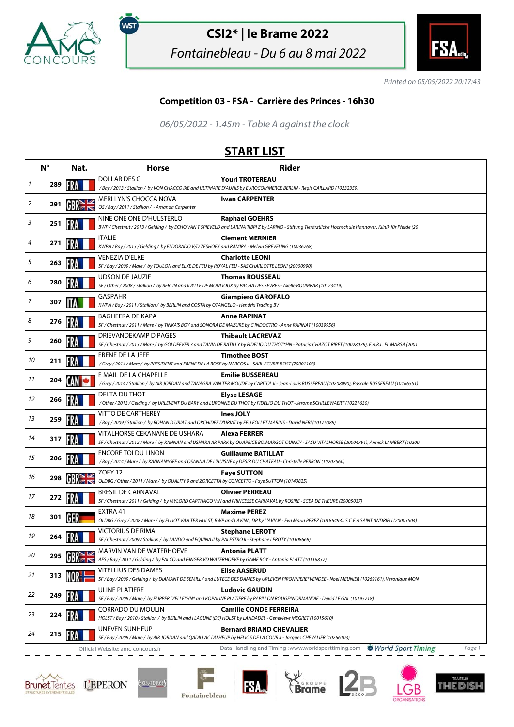

,<br>wsт

## **CSI2\* | le Brame 2022**

Fontainebleau - Du 6 au 8 mai 2022



Printed on 05/05/2022 20:17:43

## **Competition 03 - FSA - Carrière des Princes - 16h30**

06/05/2022 - 1.45m - Table A against the clock

## **START LIST**

|    | $N^{\circ}$ | Nat. | <b>Horse</b>                                                                                                                      | <b>Rider</b>                                                                                                                                                                       |
|----|-------------|------|-----------------------------------------------------------------------------------------------------------------------------------|------------------------------------------------------------------------------------------------------------------------------------------------------------------------------------|
| 1  | 289         |      | DOLLAR DES G                                                                                                                      | <b>Youri TROTEREAU</b><br>/Bay / 2013 / Stallion / by VON CHACCO IXE and ULTIMATE D'AUNIS by EUROCOMMERCE BERLIN - Regis GAILLARD (10232359)                                       |
| 2  | 291         |      | MERLLYN'S CHOCCA NOVA<br>OS / Bay / 2011 / Stallion / - Amanda Carpenter                                                          | <b>Iwan CARPENTER</b>                                                                                                                                                              |
| 3  | 251         |      | NINE ONE ONE D'HULSTERLO                                                                                                          | <b>Raphael GOEHRS</b><br>BWP / Chestnut / 2013 / Gelding / by ECHO VAN T SPIEVELD and LARINA TIBRI Z by LARINO - Stiftung Tierärztliche Hochschule Hannover, Klinik für Pferde (20 |
| 4  | 271         |      | <b>ITALIE</b><br>KWPN / Bay / 2013 / Gelding / by ELDORADO V/D ZESHOEK and RAMIRA - Melvin GREVELING (10036768)                   | <b>Clement MERNIER</b>                                                                                                                                                             |
| 5  | 263         |      | <b>VENEZIA D'ELKE</b><br>SF / Bay / 2009 / Mare / by TOULON and ELKE DE FEU by ROYAL FEU - SAS CHARLOTTE LEONI (20000990)         | <b>Charlotte LEONI</b>                                                                                                                                                             |
| 6  | 280         |      | <b>UDSON DE JAUZIF</b>                                                                                                            | <b>Thomas ROUSSEAU</b><br>SF / Other / 2008 / Stallion / by BERLIN and IDYLLE DE MONLIOUX by PACHA DES SEVRES - Axelle BOUMRAR (10123419)                                          |
| 7  | 307         |      | <b>GASPAHR</b><br>KWPN / Bay / 2011 / Stallion / by BERLIN and COSTA by OTANGELO - Hendrix Trading BV                             | <b>Giampiero GAROFALO</b>                                                                                                                                                          |
| 8  | 276         |      | BAGHEERA DE KAPA                                                                                                                  | <b>Anne RAPINAT</b><br>SF / Chestnut / 2011 / Mare / by TINKA'S BOY and SONORA DE MAZURE by C INDOCTRO - Anne RAPINAT (10039956)                                                   |
| 9  | 260         |      | DRIEVANDEKAMP D PAGES                                                                                                             | <b>Thibault LACREVAZ</b><br>SF / Chestnut / 2013 / Mare / by GOLDFEVER 3 and TANIA DE RATILLY by FIDELIO DU THOT*HN - Patricia CHAZOT RIBET (10028079), E.A.R.L. EL MARSA (2001    |
| 10 | 211         |      | EBENE DE LA JEFE<br>/Grey / 2014 / Mare / by PRESIDENT and EBENE DE LA ROSE by NARCOS II - SARL ECURIE BOST (20001108)            | <b>Timothee BOST</b>                                                                                                                                                               |
| 11 | 204         |      | E MAIL DE LA CHAPELLE                                                                                                             | <b>Emilie BUSSEREAU</b><br>/Grey / 2014 / Stallion / by AIR JORDAN and TANAGRA VAN TER MOUDE by CAPITOL II - Jean-Louis BUSSEREAU (10208090), Pascale BUSSEREAU (10166551)         |
| 12 | 266         |      | DELTA DU THOT                                                                                                                     | <b>Elyse LESAGE</b><br>/Other/2013/Gelding/by URLEVENT DU BARY and LURONNE DU THOT by FIDELIO DU THOT - Jerome SCHILLEWAERT (10221630)                                             |
| 13 | 259         |      | <b>VITTO DE CARTHEREY</b>                                                                                                         | Ines JOLY<br>/Bay / 2009 / Stallion / by ROHAN D'URIAT and ORCHIDEE D'URIAT by FEU FOLLET MARINS - David NERI (10175089)                                                           |
| 14 | 317         |      | VITALHORSE CEKANANE DE USHARA                                                                                                     | <b>Alexa FERRER</b><br>SF / Chestnut / 2012 / Mare / by KANNAN and USHARA AR PARK by QUAPRICE BOIMARGOT QUINCY - SASU VITALHORSE (20004791), Annick LAMBERT (10200                 |
| 15 | 206         |      | <b>ENCORE TOI DU LINON</b>                                                                                                        | <b>Guillaume BATILLAT</b><br>/ Bay / 2014 / Mare / by KANNAN*GFE and OSANNA DE L'HUISNE by DESIR DU CHATEAU - Christelle PERRON (10207560)                                         |
| 16 | 298         |      | ZOEY 12<br>OLDBG / Other / 2011 / Mare / by QUALITY 9 and ZORCETTA by CONCETTO - Faye SUTTON (10140825)                           | <b>Faye SUTTON</b>                                                                                                                                                                 |
| 17 | 272         |      | <b>BRESIL DE CARNAVAL</b>                                                                                                         | <b>Olivier PERREAU</b><br>SF / Chestnut / 2011 / Gelding / by MYLORD CARTHAGO*HN and PRINCESSE CARNAVAL by ROSIRE - SCEA DE THEURE (20005037)                                      |
| 18 | 301         |      | EXTRA 41                                                                                                                          | <b>Maxime PEREZ</b><br>OLDBG / Grey / 2008 / Mare / by ELLIOT VAN TER HULST, BWP and LAVINA, DP by L'AVIAN - Eva Maria PEREZ (10186493), S.C.E.A SAINT ANDRIEU (20003504)          |
| 19 | 264         |      | <b>VICTORIUS DE RIMA</b><br>SF / Chestnut / 2009 / Stallion / by LANDO and EQUINA II by PALESTRO II - Stephane LEROTY (10108668)  | <b>Stephane LEROTY</b>                                                                                                                                                             |
| 20 |             |      | MARVIN VAN DE WATERHOEVE<br>AES / Bay / 2011 / Gelding / by FALCO and GINGER VD WATERHOEVE by GAME BOY - Antonia PLATT (10116837) | <b>Antonia PLATT</b>                                                                                                                                                               |
| 21 | 313         |      | <b>VITELLIUS DES DAMES</b>                                                                                                        | <b>Elise AASERUD</b><br>SF / Bay / 2009 / Gelding / by DIAMANT DE SEMILLY and LUTECE DES DAMES by URLEVEN PIRONNIERE*VENDEE - Noel MEUNIER (10269161), Veronique MON               |
| 22 | 249         |      | ULINE PLATIERE                                                                                                                    | <b>Ludovic GAUDIN</b><br>SF / Bay / 2008 / Mare / by FLIPPER D'ELLE*HN* and KOPALINE PLATIERE by PAPILLON ROUGE*NORMANDIE - David LE GAL (10195718)                                |
| 23 | 224         |      | CORRADO DU MOULIN<br>HOLST / Bay / 2010 / Stallion / by BERLIN and I LAGUNE (DE) HOLST by LANDADEL - Genevieve MEGRET (10015610)  | <b>Camille CONDE FERREIRA</b>                                                                                                                                                      |
| 24 | 215         |      | <b>UNEVEN SUNHEUP</b>                                                                                                             | <b>Bernard BRIAND CHEVALIER</b><br>SF / Bay / 2008 / Mare / by AIR JORDAN and QADILLAC DU HEUP by HELIOS DE LA COUR II - Jacques CHEVALIER (10266103)                              |
|    |             |      | Official Website: amc-concours.fr                                                                                                 | World Sport Timing<br>Data Handling and Timing: www.worldsporttiming.com<br>Page 1                                                                                                 |







**FSA**